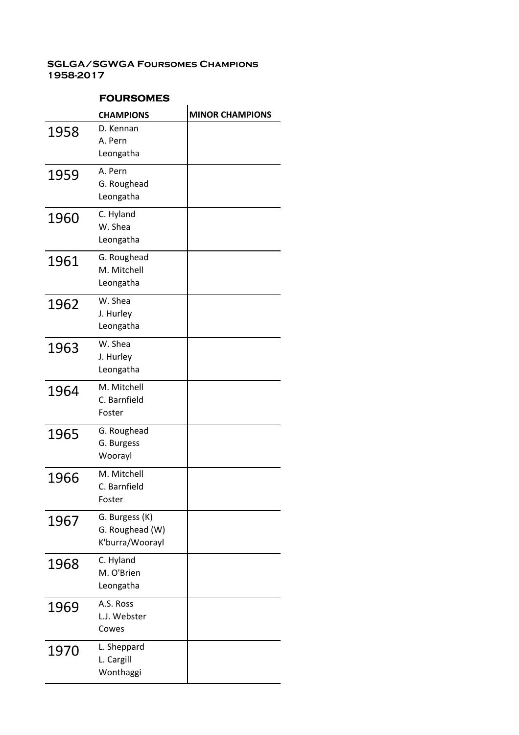|      | <b>CHAMPIONS</b>                                     | <b>MINOR CHAMPIONS</b> |
|------|------------------------------------------------------|------------------------|
| 1958 | D. Kennan<br>A. Pern<br>Leongatha                    |                        |
| 1959 | A. Pern<br>G. Roughead<br>Leongatha                  |                        |
| 1960 | C. Hyland<br>W. Shea<br>Leongatha                    |                        |
| 1961 | G. Roughead<br>M. Mitchell<br>Leongatha              |                        |
| 1962 | W. Shea<br>J. Hurley<br>Leongatha                    |                        |
| 1963 | W. Shea<br>J. Hurley<br>Leongatha                    |                        |
| 1964 | M. Mitchell<br>C. Barnfield<br>Foster                |                        |
| 1965 | G. Roughead<br>G. Burgess<br>Woorayl                 |                        |
| 1966 | M. Mitchell<br>C. Barnfield<br>Foster                |                        |
| 1967 | G. Burgess (K)<br>G. Roughead (W)<br>K'burra/Woorayl |                        |
| 1968 | C. Hyland<br>M. O'Brien<br>Leongatha                 |                        |
| 1969 | A.S. Ross<br>L.J. Webster<br>Cowes                   |                        |
| 1970 | L. Sheppard<br>L. Cargill<br>Wonthaggi               |                        |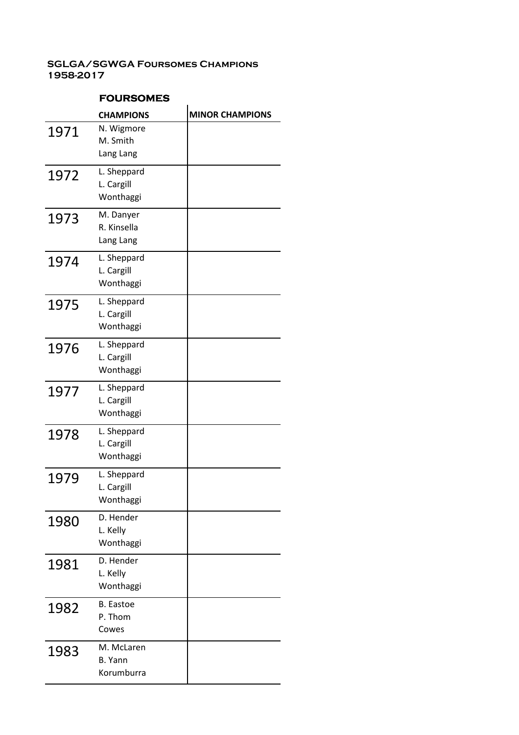|      | <b>CHAMPIONS</b>                           | <b>MINOR CHAMPIONS</b> |
|------|--------------------------------------------|------------------------|
| 1971 | N. Wigmore<br>M. Smith<br>Lang Lang        |                        |
| 1972 | L. Sheppard<br>L. Cargill<br>Wonthaggi     |                        |
| 1973 | M. Danyer<br>R. Kinsella<br>Lang Lang      |                        |
| 1974 | L. Sheppard<br>L. Cargill<br>Wonthaggi     |                        |
| 1975 | L. Sheppard<br>L. Cargill<br>Wonthaggi     |                        |
| 1976 | L. Sheppard<br>L. Cargill<br>Wonthaggi     |                        |
| 1977 | L. Sheppard<br>L. Cargill<br>Wonthaggi     |                        |
| 1978 | L. Sheppard<br>L. Cargill<br>Wonthaggi     |                        |
| 1979 | L. Sheppard<br>L. Cargill<br>Wonthaggi     |                        |
| 1980 | D. Hender<br>L. Kelly<br>Wonthaggi         |                        |
| 1981 | D. Hender<br>L. Kelly<br>Wonthaggi         |                        |
| 1982 | <b>B.</b> Eastoe<br>P. Thom<br>Cowes       |                        |
| 1983 | M. McLaren<br><b>B.</b> Yann<br>Korumburra |                        |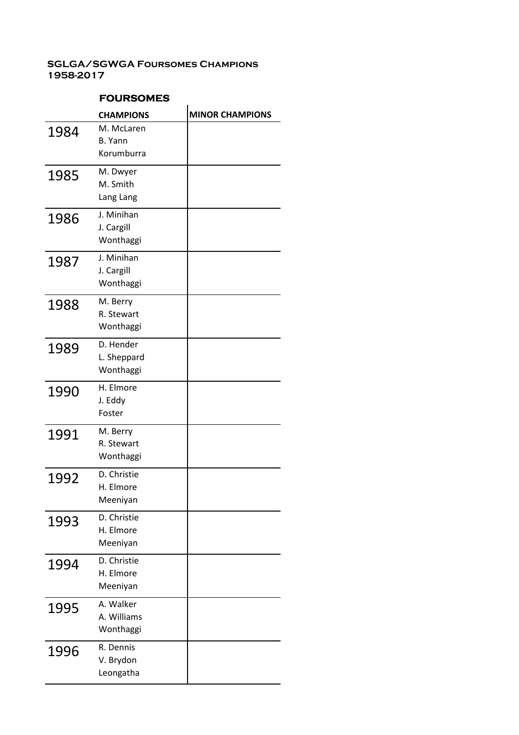|      | <b>CHAMPIONS</b>                      | <b>MINOR CHAMPIONS</b> |
|------|---------------------------------------|------------------------|
| 1984 | M. McLaren<br>B. Yann<br>Korumburra   |                        |
| 1985 | M. Dwyer<br>M. Smith<br>Lang Lang     |                        |
| 1986 | J. Minihan<br>J. Cargill<br>Wonthaggi |                        |
| 1987 | J. Minihan<br>J. Cargill<br>Wonthaggi |                        |
| 1988 | M. Berry<br>R. Stewart<br>Wonthaggi   |                        |
| 1989 | D. Hender<br>L. Sheppard<br>Wonthaggi |                        |
| 1990 | H. Elmore<br>J. Eddy<br>Foster        |                        |
| 1991 | M. Berry<br>R. Stewart<br>Wonthaggi   |                        |
| 1992 | D. Christie<br>H. Elmore<br>Meeniyan  |                        |
| 1993 | D. Christie<br>H. Elmore<br>Meeniyan  |                        |
| 1994 | D. Christie<br>H. Elmore<br>Meeniyan  |                        |
| 1995 | A. Walker<br>A. Williams<br>Wonthaggi |                        |
| 1996 | R. Dennis<br>V. Brydon<br>Leongatha   |                        |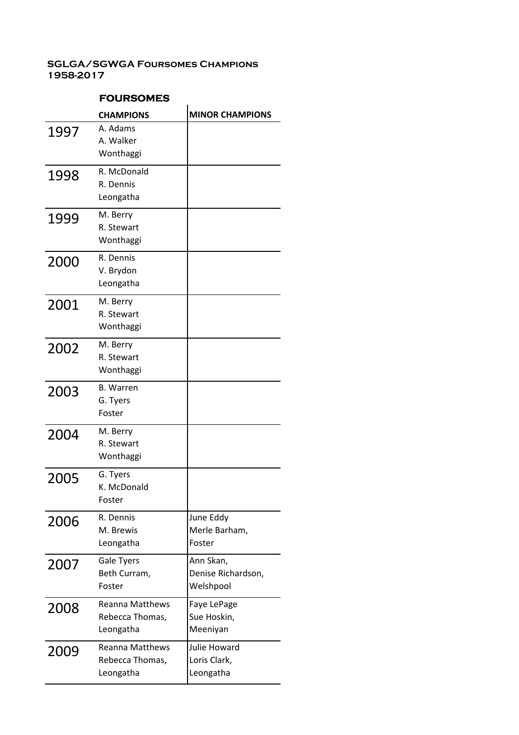|      | <b>CHAMPIONS</b>       | <b>MINOR CHAMPIONS</b> |
|------|------------------------|------------------------|
| 1997 | A. Adams               |                        |
|      | A. Walker              |                        |
|      | Wonthaggi              |                        |
| 1998 | R. McDonald            |                        |
|      | R. Dennis              |                        |
|      | Leongatha              |                        |
| 1999 | M. Berry               |                        |
|      | R. Stewart             |                        |
|      | Wonthaggi              |                        |
| 2000 | R. Dennis              |                        |
|      | V. Brydon              |                        |
|      | Leongatha              |                        |
| 2001 | M. Berry               |                        |
|      | R. Stewart             |                        |
|      | Wonthaggi              |                        |
| 2002 | M. Berry               |                        |
|      | R. Stewart             |                        |
|      | Wonthaggi              |                        |
| 2003 | <b>B.</b> Warren       |                        |
|      | G. Tyers               |                        |
|      | Foster                 |                        |
| 2004 | M. Berry               |                        |
|      | R. Stewart             |                        |
|      | Wonthaggi              |                        |
| 2005 | G. Tyers               |                        |
|      | K. McDonald            |                        |
|      | Foster                 |                        |
| 2006 | R. Dennis              | June Eddy              |
|      | M. Brewis              | Merle Barham,          |
|      | Leongatha              | Foster                 |
| 2007 | Gale Tyers             | Ann Skan,              |
|      | Beth Curram,           | Denise Richardson,     |
|      | Foster                 | Welshpool              |
| 2008 | <b>Reanna Matthews</b> | Faye LePage            |
|      | Rebecca Thomas,        | Sue Hoskin,            |
|      | Leongatha              | Meeniyan               |
| 2009 | <b>Reanna Matthews</b> | Julie Howard           |
|      | Rebecca Thomas,        | Loris Clark,           |
|      | Leongatha              | Leongatha              |